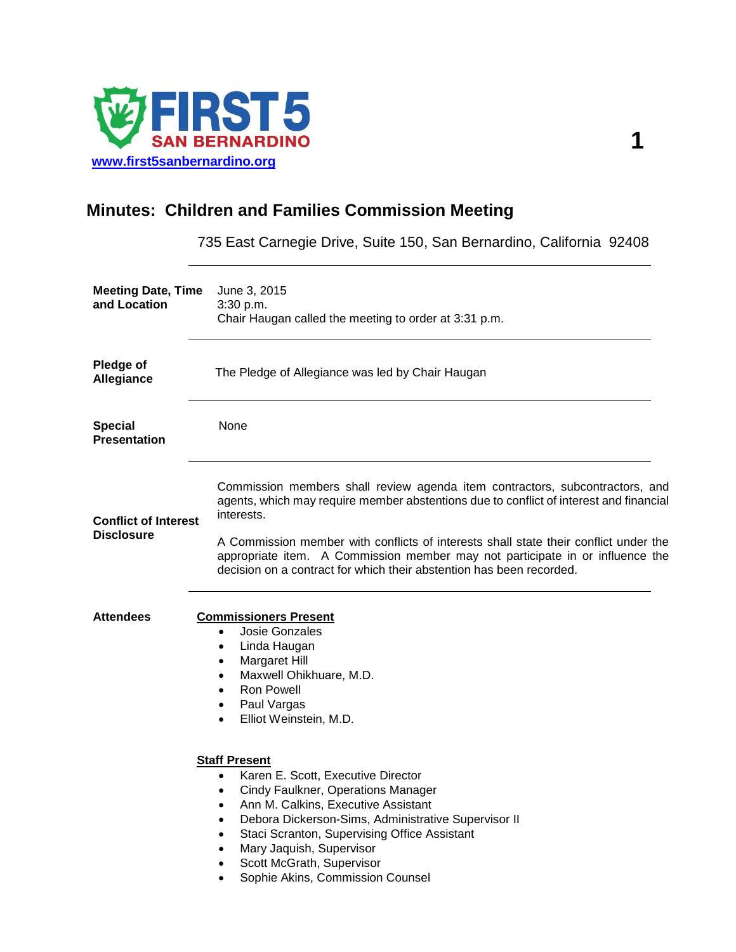

# **Minutes: Children and Families Commission Meeting**

735 East Carnegie Drive, Suite 150, San Bernardino, California 92408

| <b>Meeting Date, Time</b><br>and Location        | June 3, 2015<br>3:30 p.m.<br>Chair Haugan called the meeting to order at 3:31 p.m.                                                                                                                                                                                                                                                                                                                                                                                                                                                                                       |
|--------------------------------------------------|--------------------------------------------------------------------------------------------------------------------------------------------------------------------------------------------------------------------------------------------------------------------------------------------------------------------------------------------------------------------------------------------------------------------------------------------------------------------------------------------------------------------------------------------------------------------------|
| Pledge of<br>Allegiance                          | The Pledge of Allegiance was led by Chair Haugan                                                                                                                                                                                                                                                                                                                                                                                                                                                                                                                         |
| <b>Special</b><br><b>Presentation</b>            | None                                                                                                                                                                                                                                                                                                                                                                                                                                                                                                                                                                     |
| <b>Conflict of Interest</b><br><b>Disclosure</b> | Commission members shall review agenda item contractors, subcontractors, and<br>agents, which may require member abstentions due to conflict of interest and financial<br>interests.<br>A Commission member with conflicts of interests shall state their conflict under the<br>appropriate item. A Commission member may not participate in or influence the<br>decision on a contract for which their abstention has been recorded.                                                                                                                                    |
| <b>Attendees</b>                                 | <b>Commissioners Present</b><br><b>Josie Gonzales</b><br>$\bullet$<br>Linda Haugan<br>$\bullet$<br>Margaret Hill<br>٠<br>Maxwell Ohikhuare, M.D.<br>$\bullet$<br><b>Ron Powell</b><br>$\bullet$<br>Paul Vargas<br>$\bullet$<br>Elliot Weinstein, M.D.<br>$\bullet$<br><b>Staff Present</b><br>Karen E. Scott, Executive Director<br>$\bullet$<br>Cindy Faulkner, Operations Manager<br>$\bullet$<br>Ann M. Calkins, Executive Assistant<br>$\bullet$<br>Debora Dickerson-Sims, Administrative Supervisor II<br>$\bullet$<br>Staci Scranton, Supervising Office Assistant |
|                                                  | Mary Jaquish, Supervisor<br>$\bullet$<br>Scott McGrath, Supervisor<br>$\bullet$<br>Sophie Akins, Commission Counsel                                                                                                                                                                                                                                                                                                                                                                                                                                                      |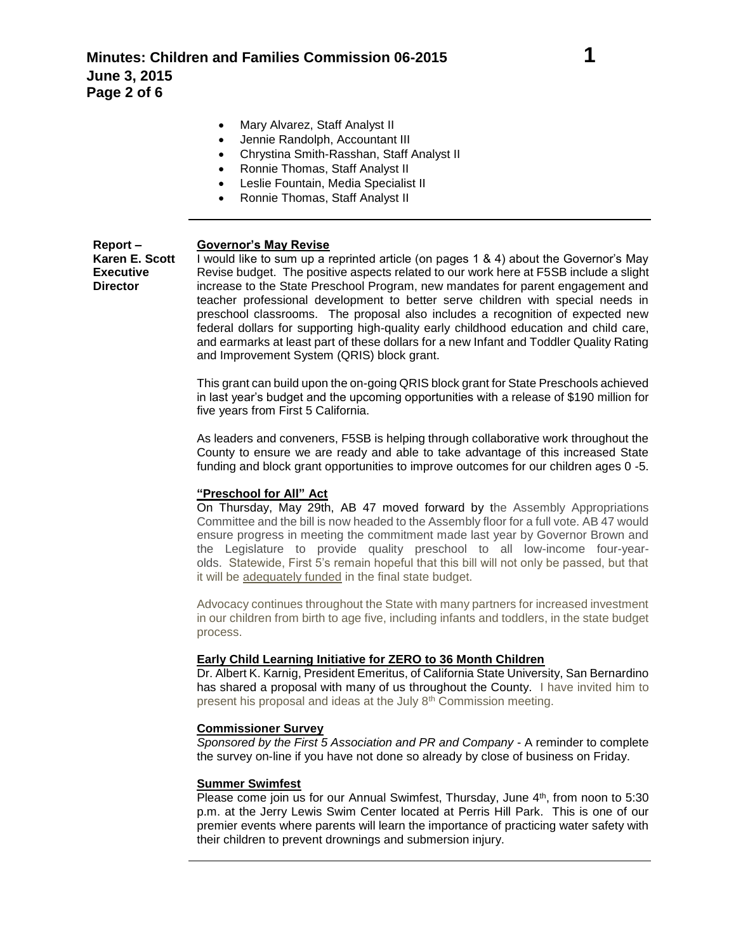- Mary Alvarez, Staff Analyst II
- Jennie Randolph, Accountant III
- Chrystina Smith-Rasshan, Staff Analyst II
- Ronnie Thomas, Staff Analyst II
- Leslie Fountain, Media Specialist II
- Ronnie Thomas, Staff Analyst II

### **Report – Governor's May Revise**

**Executive Director**

**Karen E. Scott** I would like to sum up a reprinted article (on pages 1 & 4) about the Governor's May Revise budget. The positive aspects related to our work here at F5SB include a slight increase to the State Preschool Program, new mandates for parent engagement and teacher professional development to better serve children with special needs in preschool classrooms. The proposal also includes a recognition of expected new federal dollars for supporting high-quality early childhood education and child care, and earmarks at least part of these dollars for a new Infant and Toddler Quality Rating and Improvement System (QRIS) block grant.

> This grant can build upon the on-going QRIS block grant for State Preschools achieved in last year's budget and the upcoming opportunities with a release of \$190 million for five years from First 5 California.

> As leaders and conveners, F5SB is helping through collaborative work throughout the County to ensure we are ready and able to take advantage of this increased State funding and block grant opportunities to improve outcomes for our children ages 0 -5.

## **"Preschool for All" Act**

On Thursday, May 29th, AB 47 moved forward by the Assembly Appropriations Committee and the bill is now headed to the Assembly floor for a full vote. AB 47 would ensure progress in meeting the commitment made last year by Governor Brown and the Legislature to provide quality preschool to all low-income four-yearolds. Statewide, First 5's remain hopeful that this bill will not only be passed, but that it will be adequately funded in the final state budget.

Advocacy continues throughout the State with many partners for increased investment in our children from birth to age five, including infants and toddlers, in the state budget process.

## **Early Child Learning Initiative for ZERO to 36 Month Children**

Dr. Albert K. Karnig, President Emeritus, of California State University, San Bernardino has shared a proposal with many of us throughout the County. I have invited him to present his proposal and ideas at the July 8th Commission meeting.

## **Commissioner Survey**

*Sponsored by the First 5 Association and PR and Company* - A reminder to complete the survey on-line if you have not done so already by close of business on Friday.

## **Summer Swimfest**

Please come join us for our Annual Swimfest, Thursday, June 4th, from noon to 5:30 p.m. at the Jerry Lewis Swim Center located at Perris Hill Park. This is one of our premier events where parents will learn the importance of practicing water safety with their children to prevent drownings and submersion injury.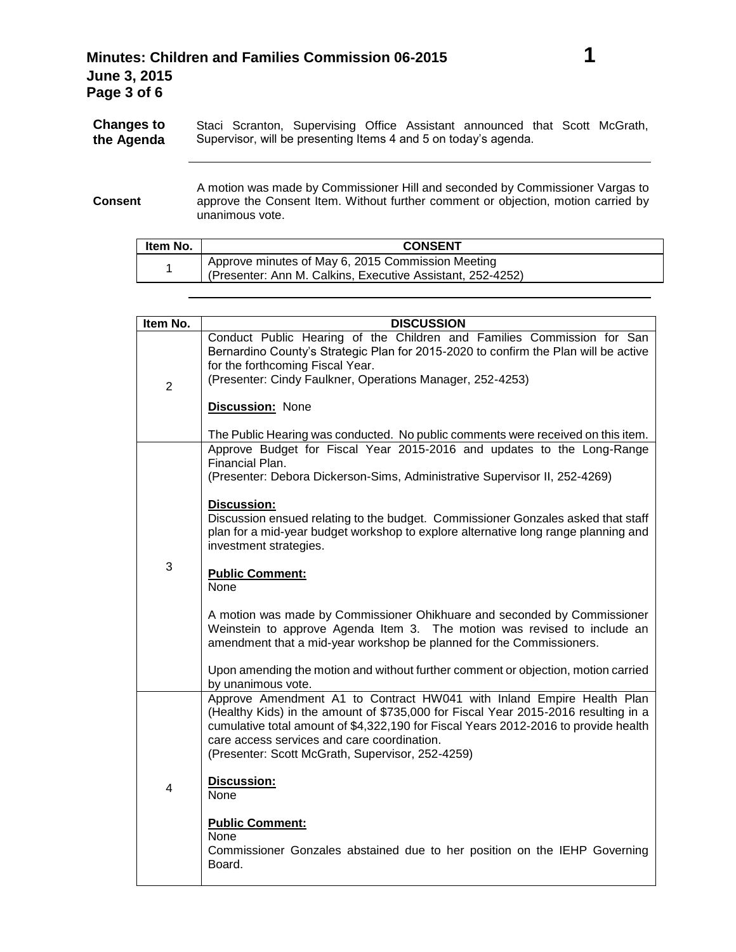**Consent** A motion was made by Commissioner Hill and seconded by Commissioner Vargas to approve the Consent Item. Without further comment or objection, motion carried by unanimous vote.

| ltem No. | <b>CONSENT</b>                                             |
|----------|------------------------------------------------------------|
|          | Approve minutes of May 6, 2015 Commission Meeting          |
|          | (Presenter: Ann M. Calkins, Executive Assistant, 252-4252) |

| Item No.       | <b>DISCUSSION</b>                                                                                                                                                                                                                                                                                                                                     |
|----------------|-------------------------------------------------------------------------------------------------------------------------------------------------------------------------------------------------------------------------------------------------------------------------------------------------------------------------------------------------------|
| $\overline{2}$ | Conduct Public Hearing of the Children and Families Commission for San<br>Bernardino County's Strategic Plan for 2015-2020 to confirm the Plan will be active<br>for the forthcoming Fiscal Year.<br>(Presenter: Cindy Faulkner, Operations Manager, 252-4253)                                                                                        |
|                | <b>Discussion: None</b><br>The Public Hearing was conducted. No public comments were received on this item.                                                                                                                                                                                                                                           |
| 3              | Approve Budget for Fiscal Year 2015-2016 and updates to the Long-Range<br>Financial Plan.<br>(Presenter: Debora Dickerson-Sims, Administrative Supervisor II, 252-4269)                                                                                                                                                                               |
|                | <b>Discussion:</b><br>Discussion ensued relating to the budget. Commissioner Gonzales asked that staff<br>plan for a mid-year budget workshop to explore alternative long range planning and<br>investment strategies.                                                                                                                                |
|                | <b>Public Comment:</b><br><b>None</b>                                                                                                                                                                                                                                                                                                                 |
|                | A motion was made by Commissioner Ohikhuare and seconded by Commissioner<br>Weinstein to approve Agenda Item 3. The motion was revised to include an<br>amendment that a mid-year workshop be planned for the Commissioners.                                                                                                                          |
|                | Upon amending the motion and without further comment or objection, motion carried<br>by unanimous vote.                                                                                                                                                                                                                                               |
| 4              | Approve Amendment A1 to Contract HW041 with Inland Empire Health Plan<br>(Healthy Kids) in the amount of \$735,000 for Fiscal Year 2015-2016 resulting in a<br>cumulative total amount of \$4,322,190 for Fiscal Years 2012-2016 to provide health<br>care access services and care coordination.<br>(Presenter: Scott McGrath, Supervisor, 252-4259) |
|                | Discussion:<br>None                                                                                                                                                                                                                                                                                                                                   |
|                | <b>Public Comment:</b><br>None<br>Commissioner Gonzales abstained due to her position on the IEHP Governing<br>Board.                                                                                                                                                                                                                                 |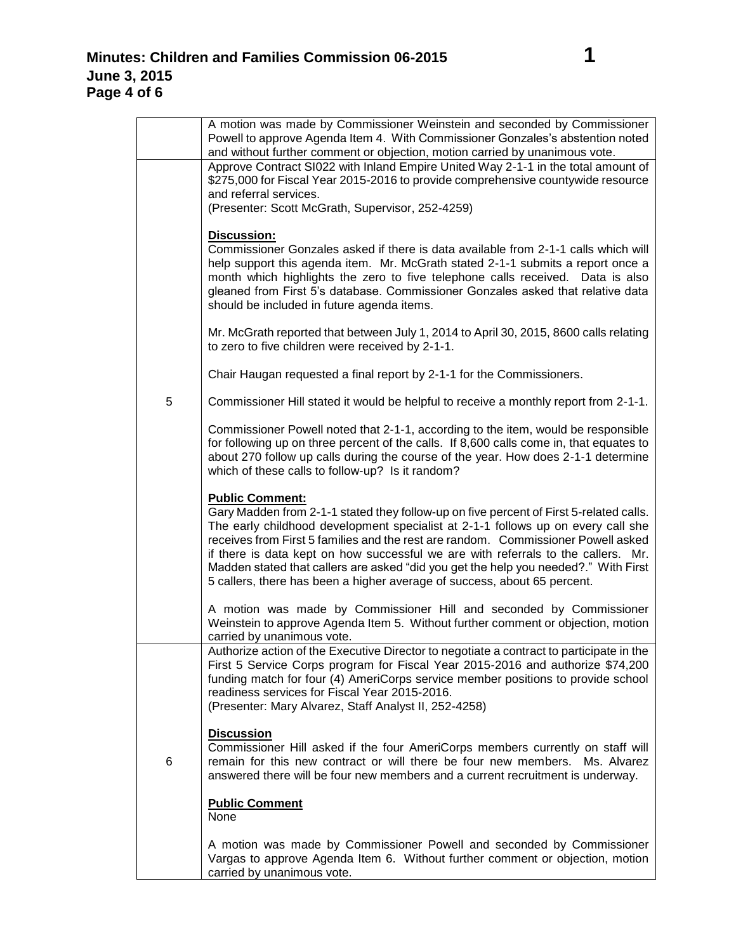|   | A motion was made by Commissioner Weinstein and seconded by Commissioner<br>Powell to approve Agenda Item 4. With Commissioner Gonzales's abstention noted<br>and without further comment or objection, motion carried by unanimous vote.                                                                                                                                                                                                                                                                                                         |
|---|---------------------------------------------------------------------------------------------------------------------------------------------------------------------------------------------------------------------------------------------------------------------------------------------------------------------------------------------------------------------------------------------------------------------------------------------------------------------------------------------------------------------------------------------------|
|   | Approve Contract SI022 with Inland Empire United Way 2-1-1 in the total amount of<br>\$275,000 for Fiscal Year 2015-2016 to provide comprehensive countywide resource<br>and referral services.                                                                                                                                                                                                                                                                                                                                                   |
|   | (Presenter: Scott McGrath, Supervisor, 252-4259)                                                                                                                                                                                                                                                                                                                                                                                                                                                                                                  |
|   | <b>Discussion:</b><br>Commissioner Gonzales asked if there is data available from 2-1-1 calls which will<br>help support this agenda item. Mr. McGrath stated 2-1-1 submits a report once a<br>month which highlights the zero to five telephone calls received. Data is also<br>gleaned from First 5's database. Commissioner Gonzales asked that relative data<br>should be included in future agenda items.                                                                                                                                    |
|   | Mr. McGrath reported that between July 1, 2014 to April 30, 2015, 8600 calls relating<br>to zero to five children were received by 2-1-1.                                                                                                                                                                                                                                                                                                                                                                                                         |
|   | Chair Haugan requested a final report by 2-1-1 for the Commissioners.                                                                                                                                                                                                                                                                                                                                                                                                                                                                             |
| 5 | Commissioner Hill stated it would be helpful to receive a monthly report from 2-1-1.                                                                                                                                                                                                                                                                                                                                                                                                                                                              |
|   | Commissioner Powell noted that 2-1-1, according to the item, would be responsible<br>for following up on three percent of the calls. If 8,600 calls come in, that equates to<br>about 270 follow up calls during the course of the year. How does 2-1-1 determine<br>which of these calls to follow-up? Is it random?                                                                                                                                                                                                                             |
|   | <b>Public Comment:</b><br>Gary Madden from 2-1-1 stated they follow-up on five percent of First 5-related calls.<br>The early childhood development specialist at 2-1-1 follows up on every call she<br>receives from First 5 families and the rest are random. Commissioner Powell asked<br>if there is data kept on how successful we are with referrals to the callers. Mr.<br>Madden stated that callers are asked "did you get the help you needed?." With First<br>5 callers, there has been a higher average of success, about 65 percent. |
|   | A motion was made by Commissioner Hill and seconded by Commissioner<br>Weinstein to approve Agenda Item 5. Without further comment or objection, motion<br>carried by unanimous vote.                                                                                                                                                                                                                                                                                                                                                             |
|   | Authorize action of the Executive Director to negotiate a contract to participate in the<br>First 5 Service Corps program for Fiscal Year 2015-2016 and authorize \$74,200<br>funding match for four (4) AmeriCorps service member positions to provide school<br>readiness services for Fiscal Year 2015-2016.<br>(Presenter: Mary Alvarez, Staff Analyst II, 252-4258)                                                                                                                                                                          |
| 6 | <b>Discussion</b><br>Commissioner Hill asked if the four AmeriCorps members currently on staff will<br>remain for this new contract or will there be four new members. Ms. Alvarez<br>answered there will be four new members and a current recruitment is underway.                                                                                                                                                                                                                                                                              |
|   | <b>Public Comment</b><br>None                                                                                                                                                                                                                                                                                                                                                                                                                                                                                                                     |
|   | A motion was made by Commissioner Powell and seconded by Commissioner<br>Vargas to approve Agenda Item 6. Without further comment or objection, motion<br>carried by unanimous vote.                                                                                                                                                                                                                                                                                                                                                              |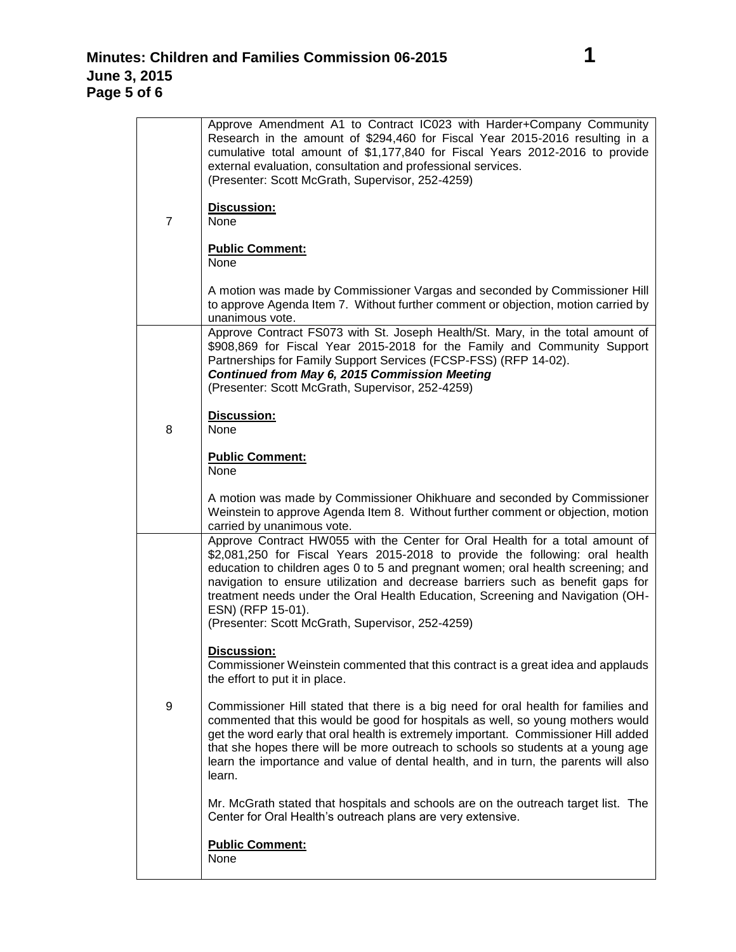| $\overline{7}$ | Approve Amendment A1 to Contract IC023 with Harder+Company Community<br>Research in the amount of \$294,460 for Fiscal Year 2015-2016 resulting in a<br>cumulative total amount of \$1,177,840 for Fiscal Years 2012-2016 to provide<br>external evaluation, consultation and professional services.<br>(Presenter: Scott McGrath, Supervisor, 252-4259)<br>Discussion:<br>None                                                                                                                |
|----------------|------------------------------------------------------------------------------------------------------------------------------------------------------------------------------------------------------------------------------------------------------------------------------------------------------------------------------------------------------------------------------------------------------------------------------------------------------------------------------------------------|
|                | <b>Public Comment:</b><br>None                                                                                                                                                                                                                                                                                                                                                                                                                                                                 |
|                | A motion was made by Commissioner Vargas and seconded by Commissioner Hill<br>to approve Agenda Item 7. Without further comment or objection, motion carried by<br>unanimous vote.                                                                                                                                                                                                                                                                                                             |
|                | Approve Contract FS073 with St. Joseph Health/St. Mary, in the total amount of<br>\$908,869 for Fiscal Year 2015-2018 for the Family and Community Support<br>Partnerships for Family Support Services (FCSP-FSS) (RFP 14-02).<br>Continued from May 6, 2015 Commission Meeting<br>(Presenter: Scott McGrath, Supervisor, 252-4259)                                                                                                                                                            |
| 8              | Discussion:<br>None                                                                                                                                                                                                                                                                                                                                                                                                                                                                            |
|                | <b>Public Comment:</b><br>None                                                                                                                                                                                                                                                                                                                                                                                                                                                                 |
|                | A motion was made by Commissioner Ohikhuare and seconded by Commissioner<br>Weinstein to approve Agenda Item 8. Without further comment or objection, motion<br>carried by unanimous vote.                                                                                                                                                                                                                                                                                                     |
| 9              | Approve Contract HW055 with the Center for Oral Health for a total amount of<br>\$2,081,250 for Fiscal Years 2015-2018 to provide the following: oral health<br>education to children ages 0 to 5 and pregnant women; oral health screening; and<br>navigation to ensure utilization and decrease barriers such as benefit gaps for<br>treatment needs under the Oral Health Education, Screening and Navigation (OH-<br>ESN) (RFP 15-01).<br>(Presenter: Scott McGrath, Supervisor, 252-4259) |
|                | <b>Discussion:</b><br>Commissioner Weinstein commented that this contract is a great idea and applauds<br>the effort to put it in place.                                                                                                                                                                                                                                                                                                                                                       |
|                | Commissioner Hill stated that there is a big need for oral health for families and<br>commented that this would be good for hospitals as well, so young mothers would<br>get the word early that oral health is extremely important. Commissioner Hill added<br>that she hopes there will be more outreach to schools so students at a young age<br>learn the importance and value of dental health, and in turn, the parents will also<br>learn.                                              |
|                | Mr. McGrath stated that hospitals and schools are on the outreach target list. The<br>Center for Oral Health's outreach plans are very extensive.                                                                                                                                                                                                                                                                                                                                              |
|                | <b>Public Comment:</b><br>None                                                                                                                                                                                                                                                                                                                                                                                                                                                                 |